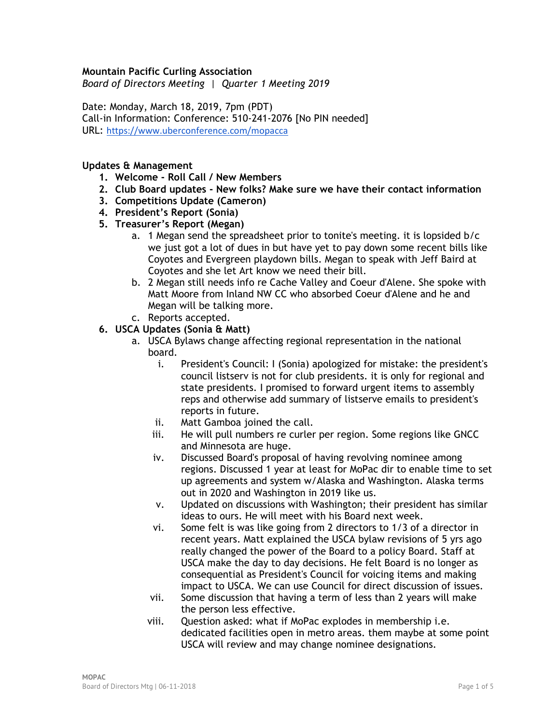#### **Mountain Pacific Curling Association**

*Board of Directors Meeting | Quarter 1 Meeting 2019*

Date: Monday, March 18, 2019, 7pm (PDT) Call-in Information: Conference: 510-241-2076 [No PIN needed] URL: <https://www.uberconference.com/mopacca>

#### **Updates & Management**

- **1. Welcome - Roll Call / New Members**
- **2. Club Board updates - New folks? Make sure we have their contact information**
- **3. Competitions Update (Cameron)**
- **4. President's Report (Sonia)**
- **5. Treasurer's Report (Megan)**
	- a. 1 Megan send the spreadsheet prior to tonite's meeting. it is lopsided b/c we just got a lot of dues in but have yet to pay down some recent bills like Coyotes and Evergreen playdown bills. Megan to speak with Jeff Baird at Coyotes and she let Art know we need their bill.
	- b. 2 Megan still needs info re Cache Valley and Coeur d'Alene. She spoke with Matt Moore from Inland NW CC who absorbed Coeur d'Alene and he and Megan will be talking more.
	- c. Reports accepted.
- **6. USCA Updates (Sonia & Matt)**
	- a. USCA Bylaws change affecting regional representation in the national board.
		- i. President's Council: I (Sonia) apologized for mistake: the president's council listserv is not for club presidents. it is only for regional and state presidents. I promised to forward urgent items to assembly reps and otherwise add summary of listserve emails to president's reports in future.
		- ii. Matt Gamboa joined the call.
		- iii. He will pull numbers re curler per region. Some regions like GNCC and Minnesota are huge.
		- iv. Discussed Board's proposal of having revolving nominee among regions. Discussed 1 year at least for MoPac dir to enable time to set up agreements and system w/Alaska and Washington. Alaska terms out in 2020 and Washington in 2019 like us.
		- v. Updated on discussions with Washington; their president has similar ideas to ours. He will meet with his Board next week.
		- vi. Some felt is was like going from 2 directors to 1/3 of a director in recent years. Matt explained the USCA bylaw revisions of 5 yrs ago really changed the power of the Board to a policy Board. Staff at USCA make the day to day decisions. He felt Board is no longer as consequential as President's Council for voicing items and making impact to USCA. We can use Council for direct discussion of issues.
		- vii. Some discussion that having a term of less than 2 years will make the person less effective.
		- viii. Question asked: what if MoPac explodes in membership i.e. dedicated facilities open in metro areas. them maybe at some point USCA will review and may change nominee designations.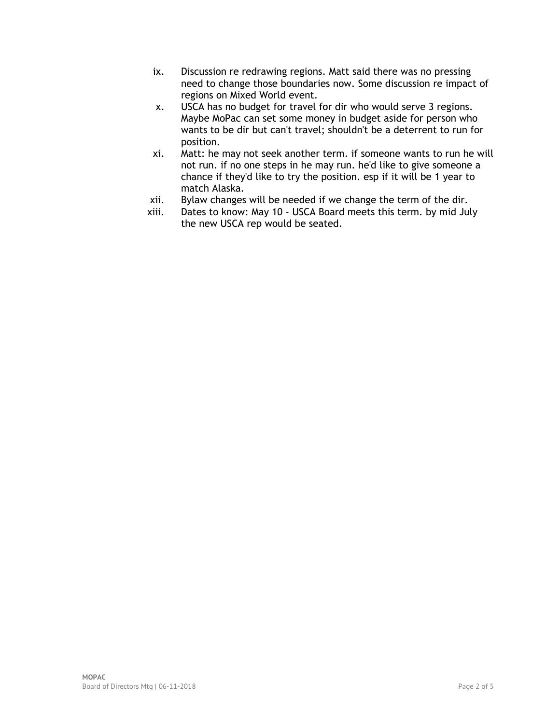- ix. Discussion re redrawing regions. Matt said there was no pressing need to change those boundaries now. Some discussion re impact of regions on Mixed World event.
- x. USCA has no budget for travel for dir who would serve 3 regions. Maybe MoPac can set some money in budget aside for person who wants to be dir but can't travel; shouldn't be a deterrent to run for position.
- xi. Matt: he may not seek another term. if someone wants to run he will not run. if no one steps in he may run. he'd like to give someone a chance if they'd like to try the position. esp if it will be 1 year to match Alaska.
- xii. Bylaw changes will be needed if we change the term of the dir.
- xiii. Dates to know: May 10 USCA Board meets this term. by mid July the new USCA rep would be seated.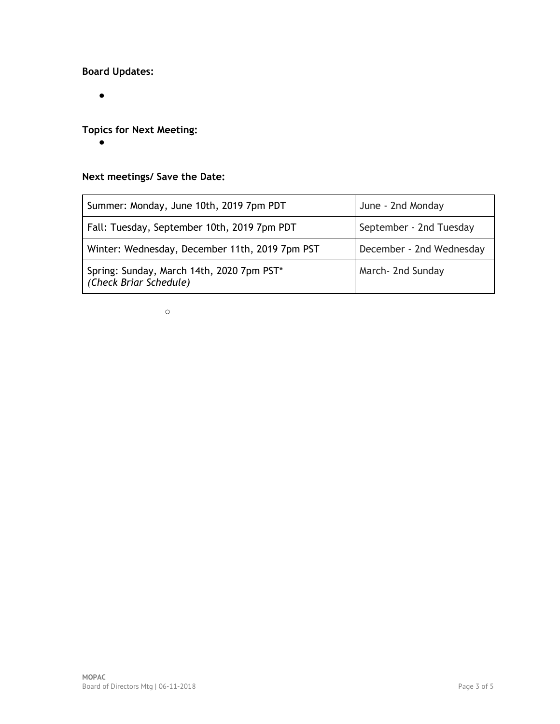### **Board Updates:**

 $\bullet$ 

## **Topics for Next Meeting:**

 $\bullet$ 

# **Next meetings/ Save the Date:**

| Summer: Monday, June 10th, 2019 7pm PDT                             | June - 2nd Monday        |
|---------------------------------------------------------------------|--------------------------|
| Fall: Tuesday, September 10th, 2019 7pm PDT                         | September - 2nd Tuesday  |
| Winter: Wednesday, December 11th, 2019 7pm PST                      | December - 2nd Wednesday |
| Spring: Sunday, March 14th, 2020 7pm PST*<br>(Check Briar Schedule) | March- 2nd Sunday        |

 $\circ$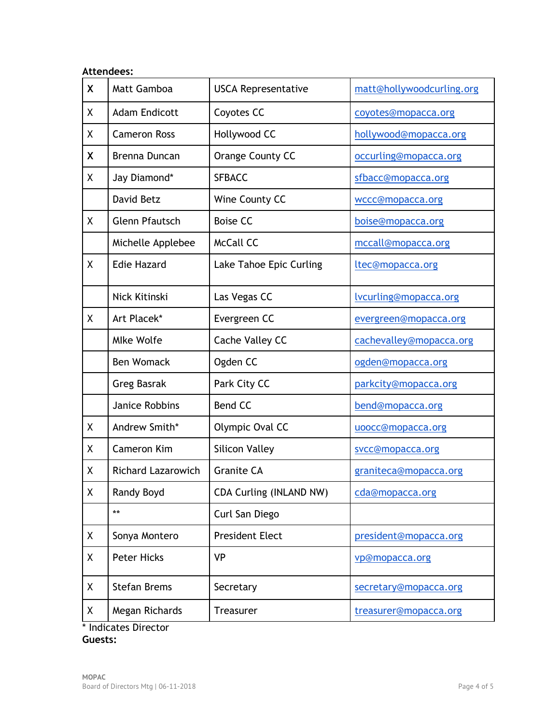| <b>Attendees:</b>  |                           |                            |                           |  |
|--------------------|---------------------------|----------------------------|---------------------------|--|
| X                  | Matt Gamboa               | <b>USCA Representative</b> | matt@hollywoodcurling.org |  |
| X                  | <b>Adam Endicott</b>      | Coyotes CC                 | coyotes@mopacca.org       |  |
| X                  | <b>Cameron Ross</b>       | Hollywood CC               | hollywood@mopacca.org     |  |
| X                  | Brenna Duncan             | Orange County CC           | occurling@mopacca.org     |  |
| χ                  | Jay Diamond*              | <b>SFBACC</b>              | sfbacc@mopacca.org        |  |
|                    | David Betz                | Wine County CC             | wccc@mopacca.org          |  |
| X                  | <b>Glenn Pfautsch</b>     | <b>Boise CC</b>            | boise@mopacca.org         |  |
|                    | Michelle Applebee         | <b>McCall CC</b>           | mccall@mopacca.org        |  |
| X                  | <b>Edie Hazard</b>        | Lake Tahoe Epic Curling    | ltec@mopacca.org          |  |
|                    | Nick Kitinski             | Las Vegas CC               | lvcurling@mopacca.org     |  |
| X                  | Art Placek*               | Evergreen CC               | evergreen@mopacca.org     |  |
|                    | <b>Mlke Wolfe</b>         | Cache Valley CC            | cachevalley@mopacca.org   |  |
|                    | <b>Ben Womack</b>         | Ogden CC                   | ogden@mopacca.org         |  |
|                    | <b>Greg Basrak</b>        | Park City CC               | parkcity@mopacca.org      |  |
|                    | Janice Robbins            | <b>Bend CC</b>             | bend@mopacca.org          |  |
| Χ                  | Andrew Smith*             | Olympic Oval CC            | uoocc@mopacca.org         |  |
| Χ                  | <b>Cameron Kim</b>        | <b>Silicon Valley</b>      | svcc@mopacca.org          |  |
| $\pmb{\mathsf{X}}$ | <b>Richard Lazarowich</b> | <b>Granite CA</b>          | graniteca@mopacca.org     |  |
| X                  | Randy Boyd                | CDA Curling (INLAND NW)    | cda@mopacca.org           |  |
|                    | $***$                     | Curl San Diego             |                           |  |
| X                  | Sonya Montero             | <b>President Elect</b>     | president@mopacca.org     |  |
| Χ                  | <b>Peter Hicks</b>        | <b>VP</b>                  | vp@mopacca.org            |  |
| Χ                  | <b>Stefan Brems</b>       | Secretary                  | secretary@mopacca.org     |  |
| Χ                  | Megan Richards            | <b>Treasurer</b>           | treasurer@mopacca.org     |  |

\* Indicates Director **Guests:**